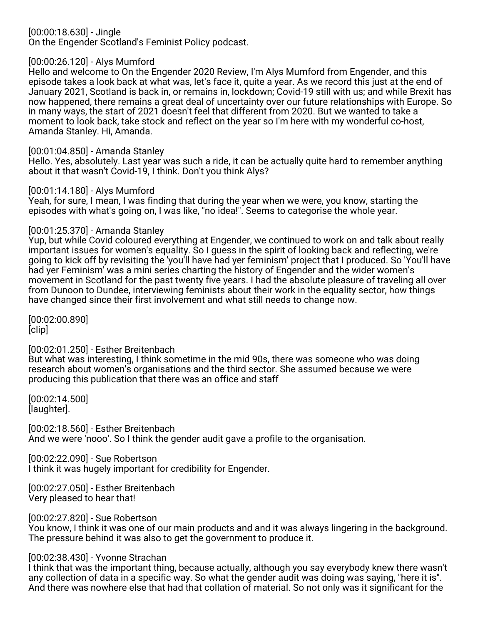[00:00:18.630] - Jingle

On the Engender Scotland's Feminist Policy podcast.

#### [00:00:26.120] - Alys Mumford

Hello and welcome to On the Engender 2020 Review, I'm Alys Mumford from Engender, and this episode takes a look back at what was, let's face it, quite a year. As we record this just at the end of January 2021, Scotland is back in, or remains in, lockdown; Covid-19 still with us; and while Brexit has now happened, there remains a great deal of uncertainty over our future relationships with Europe. So in many ways, the start of 2021 doesn't feel that different from 2020. But we wanted to take a moment to look back, take stock and reflect on the year so I'm here with my wonderful co-host, Amanda Stanley. Hi, Amanda.

#### [00:01:04.850] - Amanda Stanley

Hello. Yes, absolutely. Last year was such a ride, it can be actually quite hard to remember anything about it that wasn't Covid-19, I think. Don't you think Alys?

#### [00:01:14.180] - Alys Mumford

Yeah, for sure, I mean, I was finding that during the year when we were, you know, starting the episodes with what's going on, I was like, "no idea!". Seems to categorise the whole year.

#### [00:01:25.370] - Amanda Stanley

Yup, but while Covid coloured everything at Engender, we continued to work on and talk about really important issues for women's equality. So I guess in the spirit of looking back and reflecting, we're going to kick off by revisiting the 'you'll have had yer feminism' project that I produced. So 'You'll have had yer Feminism' was a mini series charting the history of Engender and the wider women's movement in Scotland for the past twenty five years. I had the absolute pleasure of traveling all over from Dunoon to Dundee, interviewing feminists about their work in the equality sector, how things have changed since their first involvement and what still needs to change now.

[00:02:00.890] [clip]

#### [00:02:01.250] - Esther Breitenbach

But what was interesting, I think sometime in the mid 90s, there was someone who was doing research about women's organisations and the third sector. She assumed because we were producing this publication that there was an office and staff

[00:02:14.500] [laughter].

[00:02:18.560] - Esther Breitenbach And we were 'nooo'. So I think the gender audit gave a profile to the organisation.

[00:02:22.090] - Sue Robertson I think it was hugely important for credibility for Engender.

[00:02:27.050] - Esther Breitenbach Very pleased to hear that!

[00:02:27.820] - Sue Robertson

You know, I think it was one of our main products and and it was always lingering in the background. The pressure behind it was also to get the government to produce it.

## [00:02:38.430] - Yvonne Strachan

I think that was the important thing, because actually, although you say everybody knew there wasn't any collection of data in a specific way. So what the gender audit was doing was saying, "here it is". And there was nowhere else that had that collation of material. So not only was it significant for the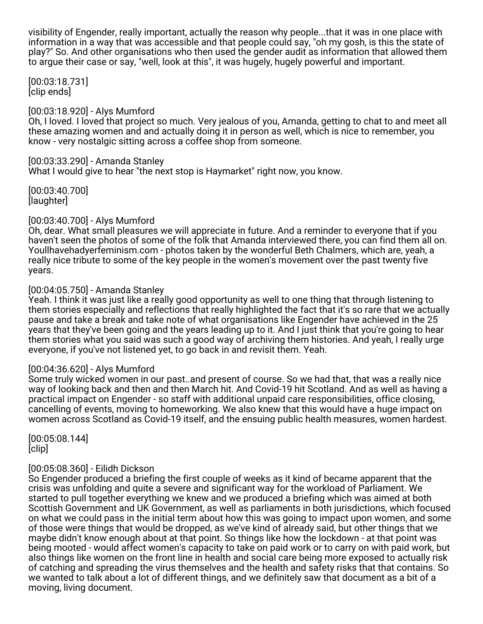visibility of Engender, really important, actually the reason why people...that it was in one place with information in a way that was accessible and that people could say, "oh my gosh, is this the state of play?" So. And other organisations who then used the gender audit as information that allowed them to argue their case or say, "well, look at this", it was hugely, hugely powerful and important.

[00:03:18.731] [clip ends]

#### [00:03:18.920] - Alys Mumford

Oh, I loved. I loved that project so much. Very jealous of you, Amanda, getting to chat to and meet all these amazing women and and actually doing it in person as well, which is nice to remember, you know - very nostalgic sitting across a coffee shop from someone.

#### [00:03:33.290] - Amanda Stanley

What I would give to hear "the next stop is Haymarket" right now, you know.

[00:03:40.700] [laughter]

#### [00:03:40.700] - Alys Mumford

Oh, dear. What small pleasures we will appreciate in future. And a reminder to everyone that if you haven't seen the photos of some of the folk that Amanda interviewed there, you can find them all on. Youllhavehadyerfeminism.com - photos taken by the wonderful Beth Chalmers, which are, yeah, a really nice tribute to some of the key people in the women's movement over the past twenty five years.

#### [00:04:05.750] - Amanda Stanley

Yeah. I think it was just like a really good opportunity as well to one thing that through listening to them stories especially and reflections that really highlighted the fact that it's so rare that we actually pause and take a break and take note of what organisations like Engender have achieved in the 25 years that they've been going and the years leading up to it. And I just think that you're going to hear them stories what you said was such a good way of archiving them histories. And yeah, I really urge everyone, if you've not listened yet, to go back in and revisit them. Yeah.

#### [00:04:36.620] - Alys Mumford

Some truly wicked women in our past..and present of course. So we had that, that was a really nice way of looking back and then and then March hit. And Covid-19 hit Scotland. And as well as having a practical impact on Engender - so staff with additional unpaid care responsibilities, office closing, cancelling of events, moving to homeworking. We also knew that this would have a huge impact on women across Scotland as Covid-19 itself, and the ensuing public health measures, women hardest.

[00:05:08.144] [clip]

#### [00:05:08.360] - Eilidh Dickson

So Engender produced a briefing the first couple of weeks as it kind of became apparent that the crisis was unfolding and quite a severe and significant way for the workload of Parliament. We started to pull together everything we knew and we produced a briefing which was aimed at both Scottish Government and UK Government, as well as parliaments in both jurisdictions, which focused on what we could pass in the initial term about how this was going to impact upon women, and some of those were things that would be dropped, as we've kind of already said, but other things that we maybe didn't know enough about at that point. So things like how the lockdown - at that point was being mooted - would affect women's capacity to take on paid work or to carry on with paid work, but also things like women on the front line in health and social care being more exposed to actually risk of catching and spreading the virus themselves and the health and safety risks that that contains. So we wanted to talk about a lot of different things, and we definitely saw that document as a bit of a moving, living document.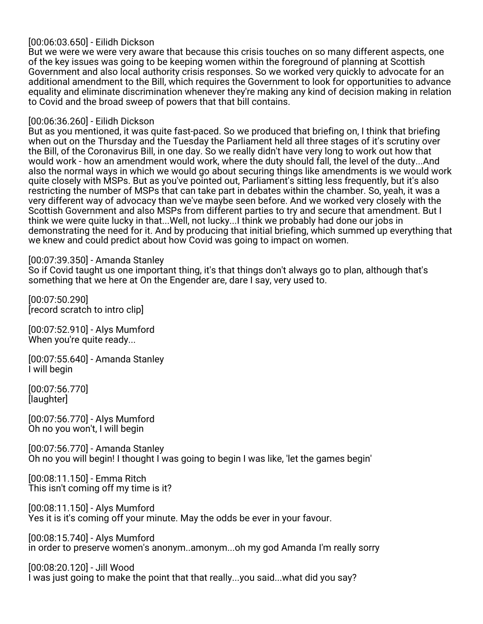## [00:06:03.650] - Eilidh Dickson

But we were we were very aware that because this crisis touches on so many different aspects, one of the key issues was going to be keeping women within the foreground of planning at Scottish Government and also local authority crisis responses. So we worked very quickly to advocate for an additional amendment to the Bill, which requires the Government to look for opportunities to advance equality and eliminate discrimination whenever they're making any kind of decision making in relation to Covid and the broad sweep of powers that that bill contains.

#### [00:06:36.260] - Eilidh Dickson

But as you mentioned, it was quite fast-paced. So we produced that briefing on, I think that briefing when out on the Thursday and the Tuesday the Parliament held all three stages of it's scrutiny over the Bill, of the Coronavirus Bill, in one day. So we really didn't have very long to work out how that would work - how an amendment would work, where the duty should fall, the level of the duty...And also the normal ways in which we would go about securing things like amendments is we would work quite closely with MSPs. But as you've pointed out, Parliament's sitting less frequently, but it's also restricting the number of MSPs that can take part in debates within the chamber. So, yeah, it was a very different way of advocacy than we've maybe seen before. And we worked very closely with the Scottish Government and also MSPs from different parties to try and secure that amendment. But I think we were quite lucky in that...Well, not lucky...I think we probably had done our jobs in demonstrating the need for it. And by producing that initial briefing, which summed up everything that we knew and could predict about how Covid was going to impact on women.

## [00:07:39.350] - Amanda Stanley

So if Covid taught us one important thing, it's that things don't always go to plan, although that's something that we here at On the Engender are, dare I say, very used to.

[00:07:50.290] [record scratch to intro clip]

[00:07:52.910] - Alys Mumford When you're quite ready...

[00:07:55.640] - Amanda Stanley I will begin

[00:07:56.770] [laughter]

[00:07:56.770] - Alys Mumford Oh no you won't, I will begin

[00:07:56.770] - Amanda Stanley Oh no you will begin! I thought I was going to begin I was like, 'let the games begin'

[00:08:11.150] - Emma Ritch This isn't coming off my time is it?

[00:08:11.150] - Alys Mumford Yes it is it's coming off your minute. May the odds be ever in your favour.

[00:08:15.740] - Alys Mumford in order to preserve women's anonym..amonym...oh my god Amanda I'm really sorry

[00:08:20.120] - Jill Wood I was just going to make the point that that really...you said...what did you say?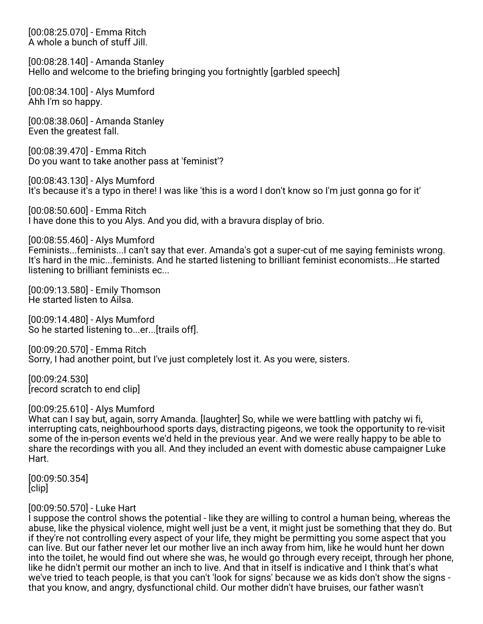[00:08:25.070] - Emma Ritch A whole a bunch of stuff Jill.

[00:08:28.140] - Amanda Stanley Hello and welcome to the briefing bringing you fortnightly [garbled speech]

[00:08:34.100] - Alys Mumford Ahh I'm so happy.

[00:08:38.060] - Amanda Stanley Even the greatest fall.

[00:08:39.470] - Emma Ritch Do you want to take another pass at 'feminist'?

[00:08:43.130] - Alys Mumford It's because it's a typo in there! I was like 'this is a word I don't know so I'm just gonna go for it'

[00:08:50.600] - Emma Ritch I have done this to you Alys. And you did, with a bravura display of brio.

[00:08:55.460] - Alys Mumford Feminists...feminists...I can't say that ever. Amanda's got a super-cut of me saying feminists wrong. It's hard in the mic...feminists. And he started listening to brilliant feminist economists...He started listening to brilliant feminists ec...

[00:09:13.580] - Emily Thomson He started listen to Ailsa.

[00:09:14.480] - Alys Mumford So he started listening to...er...[trails off].

[00:09:20.570] - Emma Ritch Sorry, I had another point, but I've just completely lost it. As you were, sisters.

[00:09:24.530] [record scratch to end clip]

[00:09:25.610] - Alys Mumford

What can I say but, again, sorry Amanda. [laughter] So, while we were battling with patchy wi fi, interrupting cats, neighbourhood sports days, distracting pigeons, we took the opportunity to re-visit some of the in-person events we'd held in the previous year. And we were really happy to be able to share the recordings with you all. And they included an event with domestic abuse campaigner Luke Hart.

[00:09:50.354] [clip]

## [00:09:50.570] - Luke Hart

I suppose the control shows the potential - like they are willing to control a human being, whereas the abuse, like the physical violence, might well just be a vent, it might just be something that they do. But if they're not controlling every aspect of your life, they might be permitting you some aspect that you can live. But our father never let our mother live an inch away from him, like he would hunt her down into the toilet, he would find out where she was, he would go through every receipt, through her phone, like he didn't permit our mother an inch to live. And that in itself is indicative and I think that's what we've tried to teach people, is that you can't 'look for signs' because we as kids don't show the signs that you know, and angry, dysfunctional child. Our mother didn't have bruises, our father wasn't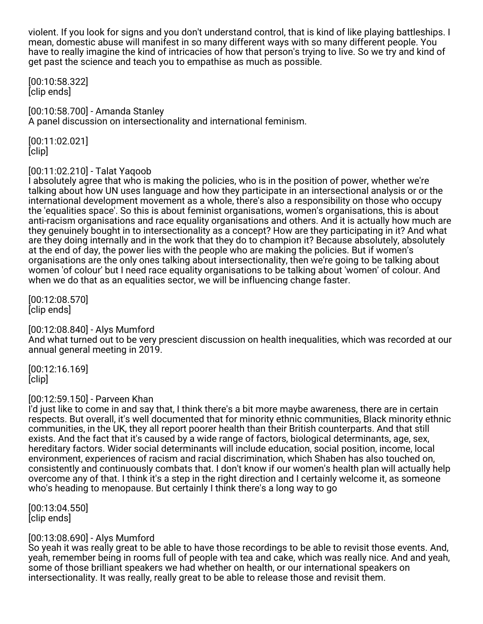violent. If you look for signs and you don't understand control, that is kind of like playing battleships. I mean, domestic abuse will manifest in so many different ways with so many different people. You have to really imagine the kind of intricacies of how that person's trying to live. So we try and kind of get past the science and teach you to empathise as much as possible.

[00:10:58.322] [clip ends]

[00:10:58.700] - Amanda Stanley A panel discussion on intersectionality and international feminism.

[00:11:02.021] [clip]

# [00:11:02.210] - Talat Yaqoob

I absolutely agree that who is making the policies, who is in the position of power, whether we're talking about how UN uses language and how they participate in an intersectional analysis or or the international development movement as a whole, there's also a responsibility on those who occupy the 'equalities space'. So this is about feminist organisations, women's organisations, this is about anti-racism organisations and race equality organisations and others. And it is actually how much are they genuinely bought in to intersectionality as a concept? How are they participating in it? And what are they doing internally and in the work that they do to champion it? Because absolutely, absolutely at the end of day, the power lies with the people who are making the policies. But if women's organisations are the only ones talking about intersectionality, then we're going to be talking about women 'of colour' but I need race equality organisations to be talking about 'women' of colour. And when we do that as an equalities sector, we will be influencing change faster.

[00:12:08.570] [clip ends]

[00:12:08.840] - Alys Mumford And what turned out to be very prescient discussion on health inequalities, which was recorded at our annual general meeting in 2019.

[00:12:16.169] [clip]

## [00:12:59.150] - Parveen Khan

I'd just like to come in and say that, I think there's a bit more maybe awareness, there are in certain respects. But overall, it's well documented that for minority ethnic communities, Black minority ethnic communities, in the UK, they all report poorer health than their British counterparts. And that still exists. And the fact that it's caused by a wide range of factors, biological determinants, age, sex, hereditary factors. Wider social determinants will include education, social position, income, local environment, experiences of racism and racial discrimination, which Shaben has also touched on, consistently and continuously combats that. I don't know if our women's health plan will actually help overcome any of that. I think it's a step in the right direction and I certainly welcome it, as someone who's heading to menopause. But certainly I think there's a long way to go

[00:13:04.550] [clip ends]

## [00:13:08.690] - Alys Mumford

So yeah it was really great to be able to have those recordings to be able to revisit those events. And, yeah, remember being in rooms full of people with tea and cake, which was really nice. And and yeah, some of those brilliant speakers we had whether on health, or our international speakers on intersectionality. It was really, really great to be able to release those and revisit them.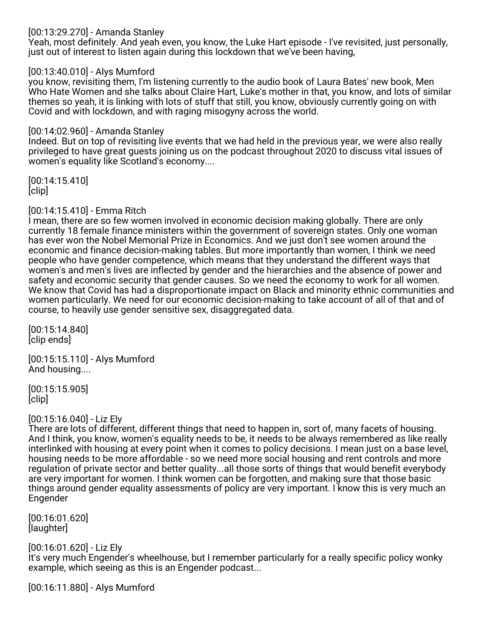# [00:13:29.270] - Amanda Stanley

Yeah, most definitely. And yeah even, you know, the Luke Hart episode - I've revisited, just personally, just out of interest to listen again during this lockdown that we've been having,

## [00:13:40.010] - Alys Mumford

you know, revisiting them, I'm listening currently to the audio book of Laura Bates' new book, Men Who Hate Women and she talks about Claire Hart, Luke's mother in that, you know, and lots of similar themes so yeah, it is linking with lots of stuff that still, you know, obviously currently going on with Covid and with lockdown, and with raging misogyny across the world.

#### [00:14:02.960] - Amanda Stanley

Indeed. But on top of revisiting live events that we had held in the previous year, we were also really privileged to have great guests joining us on the podcast throughout 2020 to discuss vital issues of women's equality like Scotland's economy....

[00:14:15.410] [clip]

## [00:14:15.410] - Emma Ritch

I mean, there are so few women involved in economic decision making globally. There are only currently 18 female finance ministers within the government of sovereign states. Only one woman has ever won the Nobel Memorial Prize in Economics. And we just don't see women around the economic and finance decision-making tables. But more importantly than women, I think we need people who have gender competence, which means that they understand the different ways that women's and men's lives are inflected by gender and the hierarchies and the absence of power and safety and economic security that gender causes. So we need the economy to work for all women. We know that Covid has had a disproportionate impact on Black and minority ethnic communities and women particularly. We need for our economic decision-making to take account of all of that and of course, to heavily use gender sensitive sex, disaggregated data.

[00:15:14.840] [clip ends]

[00:15:15.110] - Alys Mumford And housing....

[00:15:15.905] [clip]

## [00:15:16.040] - Liz Ely

There are lots of different, different things that need to happen in, sort of, many facets of housing. And I think, you know, women's equality needs to be, it needs to be always remembered as like really interlinked with housing at every point when it comes to policy decisions. I mean just on a base level, housing needs to be more affordable - so we need more social housing and rent controls and more regulation of private sector and better quality...all those sorts of things that would benefit everybody are very important for women. I think women can be forgotten, and making sure that those basic things around gender equality assessments of policy are very important. I know this is very much an Engender

[00:16:01.620] [laughter]

## [00:16:01.620] - Liz Ely

It's very much Engender's wheelhouse, but I remember particularly for a really specific policy wonky example, which seeing as this is an Engender podcast...

[00:16:11.880] - Alys Mumford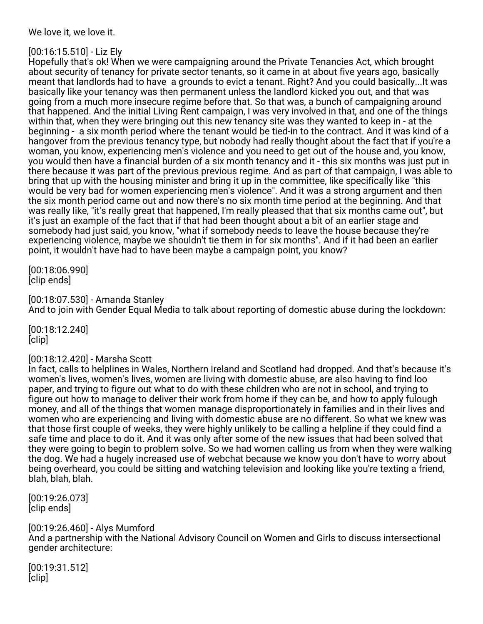We love it, we love it.

## [00:16:15.510] - Liz Ely

Hopefully that's ok! When we were campaigning around the Private Tenancies Act, which brought about security of tenancy for private sector tenants, so it came in at about five years ago, basically meant that landlords had to have a grounds to evict a tenant. Right? And you could basically...It was basically like your tenancy was then permanent unless the landlord kicked you out, and that was going from a much more insecure regime before that. So that was, a bunch of campaigning around that happened. And the initial Living Rent campaign, I was very involved in that, and one of the things within that, when they were bringing out this new tenancy site was they wanted to keep in - at the beginning - a six month period where the tenant would be tied-in to the contract. And it was kind of a hangover from the previous tenancy type, but nobody had really thought about the fact that if you're a woman, you know, experiencing men's violence and you need to get out of the house and, you know, you would then have a financial burden of a six month tenancy and it - this six months was just put in there because it was part of the previous previous regime. And as part of that campaign, I was able to bring that up with the housing minister and bring it up in the committee, like specifically like "this would be very bad for women experiencing men's violence". And it was a strong argument and then the six month period came out and now there's no six month time period at the beginning. And that was really like, "it's really great that happened, I'm really pleased that that six months came out", but it's just an example of the fact that if that had been thought about a bit of an earlier stage and somebody had just said, you know, "what if somebody needs to leave the house because they're experiencing violence, maybe we shouldn't tie them in for six months". And if it had been an earlier point, it wouldn't have had to have been maybe a campaign point, you know?

[00:18:06.990] [clip ends]

[00:18:07.530] - Amanda Stanley And to join with Gender Equal Media to talk about reporting of domestic abuse during the lockdown:

[00:18:12.240] [clip]

[00:18:12.420] - Marsha Scott

In fact, calls to helplines in Wales, Northern Ireland and Scotland had dropped. And that's because it's women's lives, women's lives, women are living with domestic abuse, are also having to find loo paper, and trying to figure out what to do with these children who are not in school, and trying to figure out how to manage to deliver their work from home if they can be, and how to apply fulough money, and all of the things that women manage disproportionately in families and in their lives and women who are experiencing and living with domestic abuse are no different. So what we knew was that those first couple of weeks, they were highly unlikely to be calling a helpline if they could find a safe time and place to do it. And it was only after some of the new issues that had been solved that they were going to begin to problem solve. So we had women calling us from when they were walking the dog. We had a hugely increased use of webchat because we know you don't have to worry about being overheard, you could be sitting and watching television and looking like you're texting a friend, blah, blah, blah.

[00:19:26.073] [clip ends]

[00:19:26.460] - Alys Mumford And a partnership with the National Advisory Council on Women and Girls to discuss intersectional gender architecture:

[00:19:31.512] [clip]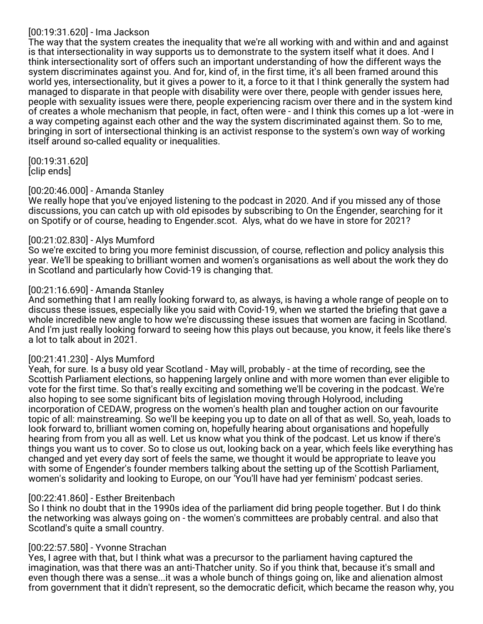## [00:19:31.620] - Ima Jackson

The way that the system creates the inequality that we're all working with and within and and against is that intersectionality in way supports us to demonstrate to the system itself what it does. And I think intersectionality sort of offers such an important understanding of how the different ways the system discriminates against you. And for, kind of, in the first time, it's all been framed around this world yes, intersectionality, but it gives a power to it, a force to it that I think generally the system had managed to disparate in that people with disability were over there, people with gender issues here, people with sexuality issues were there, people experiencing racism over there and in the system kind of creates a whole mechanism that people, in fact, often were - and I think this comes up a lot -were in a way competing against each other and the way the system discriminated against them. So to me, bringing in sort of intersectional thinking is an activist response to the system's own way of working itself around so-called equality or inequalities.

[00:19:31.620] [clip ends]

#### [00:20:46.000] - Amanda Stanley

We really hope that you've enjoyed listening to the podcast in 2020. And if you missed any of those discussions, you can catch up with old episodes by subscribing to On the Engender, searching for it on Spotify or of course, heading to Engender.scot. Alys, what do we have in store for 2021?

## [00:21:02.830] - Alys Mumford

So we're excited to bring you more feminist discussion, of course, reflection and policy analysis this year. We'll be speaking to brilliant women and women's organisations as well about the work they do in Scotland and particularly how Covid-19 is changing that.

## [00:21:16.690] - Amanda Stanley

And something that I am really looking forward to, as always, is having a whole range of people on to discuss these issues, especially like you said with Covid-19, when we started the briefing that gave a whole incredible new angle to how we're discussing these issues that women are facing in Scotland. And I'm just really looking forward to seeing how this plays out because, you know, it feels like there's a lot to talk about in 2021.

## [00:21:41.230] - Alys Mumford

Yeah, for sure. Is a busy old year Scotland - May will, probably - at the time of recording, see the Scottish Parliament elections, so happening largely online and with more women than ever eligible to vote for the first time. So that's really exciting and something we'll be covering in the podcast. We're also hoping to see some significant bits of legislation moving through Holyrood, including incorporation of CEDAW, progress on the women's health plan and tougher action on our favourite topic of all: mainstreaming. So we'll be keeping you up to date on all of that as well. So, yeah, loads to look forward to, brilliant women coming on, hopefully hearing about organisations and hopefully hearing from from you all as well. Let us know what you think of the podcast. Let us know if there's things you want us to cover. So to close us out, looking back on a year, which feels like everything has changed and yet every day sort of feels the same, we thought it would be appropriate to leave you with some of Engender's founder members talking about the setting up of the Scottish Parliament, women's solidarity and looking to Europe, on our 'You'll have had yer feminism' podcast series.

## [00:22:41.860] - Esther Breitenbach

So I think no doubt that in the 1990s idea of the parliament did bring people together. But I do think the networking was always going on - the women's committees are probably central. and also that Scotland's quite a small country.

## [00:22:57.580] - Yvonne Strachan

Yes, I agree with that, but I think what was a precursor to the parliament having captured the imagination, was that there was an anti-Thatcher unity. So if you think that, because it's small and even though there was a sense...it was a whole bunch of things going on, like and alienation almost from government that it didn't represent, so the democratic deficit, which became the reason why, you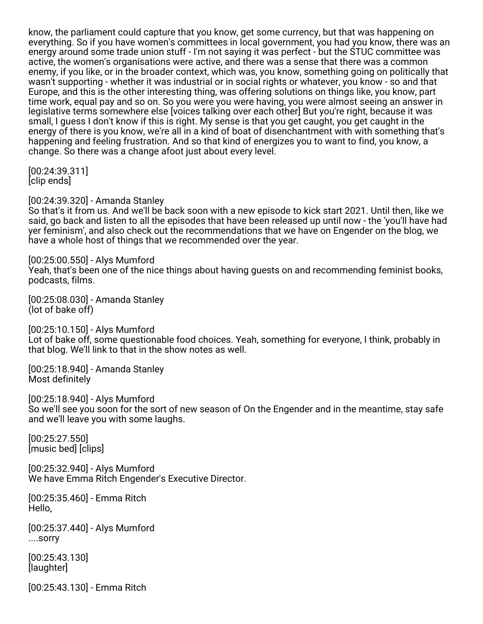know, the parliament could capture that you know, get some currency, but that was happening on everything. So if you have women's committees in local government, you had you know, there was an energy around some trade union stuff - I'm not saying it was perfect - but the STUC committee was active, the women's organisations were active, and there was a sense that there was a common enemy, if you like, or in the broader context, which was, you know, something going on politically that wasn't supporting - whether it was industrial or in social rights or whatever, you know - so and that Europe, and this is the other interesting thing, was offering solutions on things like, you know, part time work, equal pay and so on. So you were you were having, you were almost seeing an answer in legislative terms somewhere else [voices talking over each other] But you're right, because it was small, I guess I don't know if this is right. My sense is that you get caught, you get caught in the energy of there is you know, we're all in a kind of boat of disenchantment with with something that's happening and feeling frustration. And so that kind of energizes you to want to find, you know, a change. So there was a change afoot just about every level.

[00:24:39.311] [clip ends]

[00:24:39.320] - Amanda Stanley

So that's it from us. And we'll be back soon with a new episode to kick start 2021. Until then, like we said, go back and listen to all the episodes that have been released up until now - the 'you'll have had yer feminism', and also check out the recommendations that we have on Engender on the blog, we have a whole host of things that we recommended over the year.

[00:25:00.550] - Alys Mumford

Yeah, that's been one of the nice things about having guests on and recommending feminist books, podcasts, films.

[00:25:08.030] - Amanda Stanley (lot of bake off)

[00:25:10.150] - Alys Mumford Lot of bake off, some questionable food choices. Yeah, something for everyone, I think, probably in that blog. We'll link to that in the show notes as well.

[00:25:18.940] - Amanda Stanley Most definitely

[00:25:18.940] - Alys Mumford So we'll see you soon for the sort of new season of On the Engender and in the meantime, stay safe and we'll leave you with some laughs.

[00:25:27.550] [music bed] [clips]

[00:25:32.940] - Alys Mumford We have Emma Ritch Engender's Executive Director.

[00:25:35.460] - Emma Ritch Hello,

[00:25:37.440] - Alys Mumford ....sorry

[00:25:43.130] [laughter]

[00:25:43.130] - Emma Ritch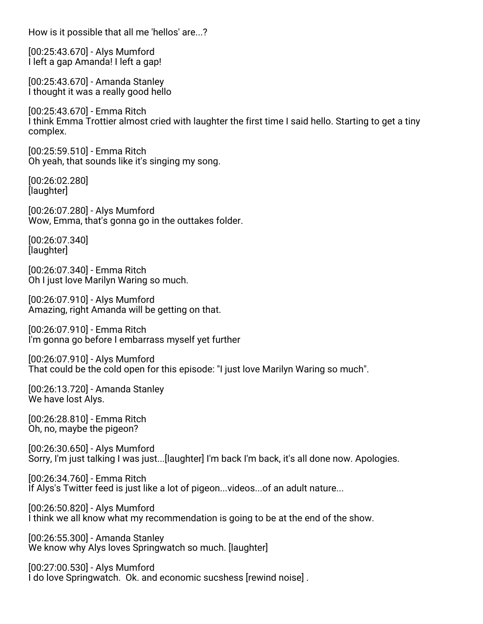How is it possible that all me 'hellos' are...?

[00:25:43.670] - Alys Mumford I left a gap Amanda! I left a gap!

[00:25:43.670] - Amanda Stanley I thought it was a really good hello

[00:25:43.670] - Emma Ritch I think Emma Trottier almost cried with laughter the first time I said hello. Starting to get a tiny complex.

[00:25:59.510] - Emma Ritch Oh yeah, that sounds like it's singing my song.

[00:26:02.280] [laughter]

[00:26:07.280] - Alys Mumford Wow, Emma, that's gonna go in the outtakes folder.

[00:26:07.340] [laughter]

[00:26:07.340] - Emma Ritch Oh I just love Marilyn Waring so much.

[00:26:07.910] - Alys Mumford Amazing, right Amanda will be getting on that.

[00:26:07.910] - Emma Ritch I'm gonna go before I embarrass myself yet further

[00:26:07.910] - Alys Mumford That could be the cold open for this episode: "I just love Marilyn Waring so much".

[00:26:13.720] - Amanda Stanley We have lost Alys.

[00:26:28.810] - Emma Ritch Oh, no, maybe the pigeon?

[00:26:30.650] - Alys Mumford Sorry, I'm just talking I was just...[laughter] I'm back I'm back, it's all done now. Apologies.

[00:26:34.760] - Emma Ritch If Alys's Twitter feed is just like a lot of pigeon...videos...of an adult nature...

[00:26:50.820] - Alys Mumford I think we all know what my recommendation is going to be at the end of the show.

[00:26:55.300] - Amanda Stanley We know why Alys loves Springwatch so much. [laughter]

[00:27:00.530] - Alys Mumford I do love Springwatch. Ok. and economic sucshess [rewind noise] .